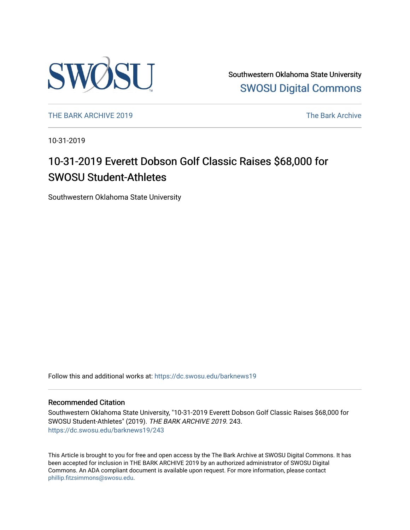

Southwestern Oklahoma State University [SWOSU Digital Commons](https://dc.swosu.edu/) 

[THE BARK ARCHIVE 2019](https://dc.swosu.edu/barknews19) The Bark Archive

10-31-2019

### 10-31-2019 Everett Dobson Golf Classic Raises \$68,000 for SWOSU Student-Athletes

Southwestern Oklahoma State University

Follow this and additional works at: [https://dc.swosu.edu/barknews19](https://dc.swosu.edu/barknews19?utm_source=dc.swosu.edu%2Fbarknews19%2F243&utm_medium=PDF&utm_campaign=PDFCoverPages)

#### Recommended Citation

Southwestern Oklahoma State University, "10-31-2019 Everett Dobson Golf Classic Raises \$68,000 for SWOSU Student-Athletes" (2019). THE BARK ARCHIVE 2019. 243. [https://dc.swosu.edu/barknews19/243](https://dc.swosu.edu/barknews19/243?utm_source=dc.swosu.edu%2Fbarknews19%2F243&utm_medium=PDF&utm_campaign=PDFCoverPages)

This Article is brought to you for free and open access by the The Bark Archive at SWOSU Digital Commons. It has been accepted for inclusion in THE BARK ARCHIVE 2019 by an authorized administrator of SWOSU Digital Commons. An ADA compliant document is available upon request. For more information, please contact [phillip.fitzsimmons@swosu.edu](mailto:phillip.fitzsimmons@swosu.edu).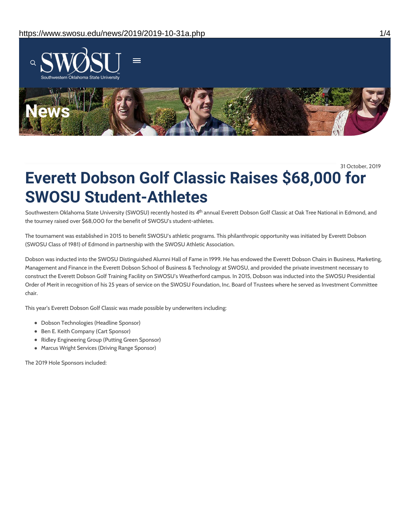

31 October, 2019

## **Everett Dobson Golf Classic Raises \$68,000 for SWOSU Student-Athletes**

Southwestern Oklahoma State University (SWOSU) recently hosted its 4<sup>th</sup> annual Everett Dobson Golf Classic at Oak Tree National in Edmond, and the tourney raised over \$68,000 for the benefit of SWOSU's student-athletes.

The tournament was established in 2015 to benefit SWOSU's athletic programs. This philanthropic opportunity was initiated by Everett Dobson (SWOSU Class of 1981) of Edmond in partnership with the SWOSU Athletic Association.

Dobson was inducted into the SWOSU Distinguished Alumni Hall of Fame in 1999. He has endowed the Everett Dobson Chairs in Business, Marketing, Management and Finance in the Everett Dobson School of Business & Technology at SWOSU, and provided the private investment necessary to construct the Everett Dobson Golf Training Facility on SWOSU's Weatherford campus. In 2015, Dobson was inducted into the SWOSU Presidential Order of Merit in recognition of his 25 years of service on the SWOSU Foundation, Inc. Board of Trustees where he served as Investment Committee chair.

This year's Everett Dobson Golf Classic was made possible by underwriters including:

- Dobson Technologies (Headline Sponsor)
- Ben E. Keith Company (Cart Sponsor)
- Ridley Engineering Group (Putting Green Sponsor)
- Marcus Wright Services (Driving Range Sponsor)

The 2019 Hole Sponsors included: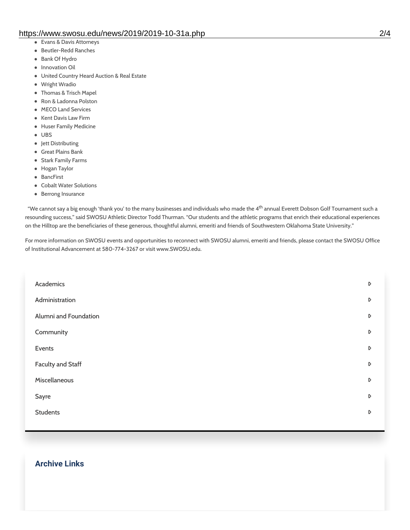- Evans & Davis Attorneys
- Beutler-Redd Ranches
- Bank Of Hydro
- Innovation Oil
- United Country Heard Auction & Real Estate
- Wright Wradio
- Thomas & Trisch Mapel
- Ron & Ladonna Polston
- MECO Land Services
- Kent Davis Law Firm
- Huser Family Medicine
- UBS
- Jett Distributing
- Great Plains Bank
- **•** Stark Family Farms
- Hogan Taylor
- **•** BancFirst
- Cobalt Water Solutions
- Berrong Insurance

"We cannot say a big enough 'thank you' to the many businesses and individuals who made the 4<sup>th</sup> annual Everett Dobson Golf Tournament such a resounding success," said SWOSU Athletic Director Todd Thurman. "Our students and the athletic programs that enrich their educational experiences on the Hilltop are the beneficiaries of these generous, thoughtful alumni, emeriti and friends of Southwestern Oklahoma State University."

For more information on SWOSU events and opportunities to reconnect with SWOSU alumni, emeriti and friends, please contact the SWOSU Office of Institutional Advancement at 580-774-3267 or visit www.SWOSU.edu.

| Academics             | D |
|-----------------------|---|
| Administration        | D |
| Alumni and Foundation | D |
| Community             | D |
| Events                | D |
| Faculty and Staff     | D |
| Miscellaneous         | D |
| Sayre                 | D |
| <b>Students</b>       | D |
|                       |   |

#### **Archive Links**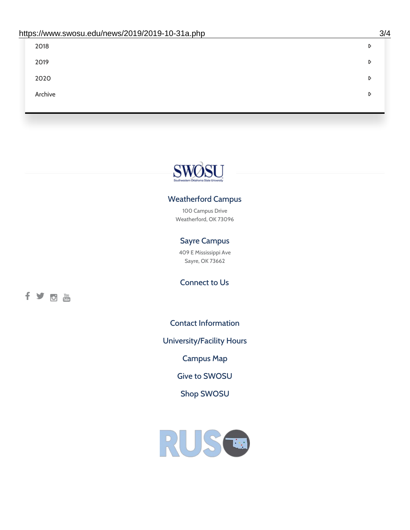| 2018    | D |
|---------|---|
| 2019    | D |
| 2020    | D |
| Archive | D |
|         |   |

# SWOSU

#### Weatherford Campus

100 Campus Drive Weatherford, OK 73096

#### Sayre Campus

409 E Mississippi Ave Sayre, OK 73662

fyom

Connect to Us

Contact [Information](https://www.swosu.edu/about/contact.php)

[University/Facility](https://www.swosu.edu/about/operating-hours.php) Hours

[Campus](https://map.concept3d.com/?id=768#!ct/10964,10214,10213,10212,10205,10204,10203,10202,10136,10129,10128,0,31226,10130,10201,10641,0) Map

Give to [SWOSU](https://standingfirmly.com/donate)

Shop [SWOSU](https://shopswosu.merchorders.com/)